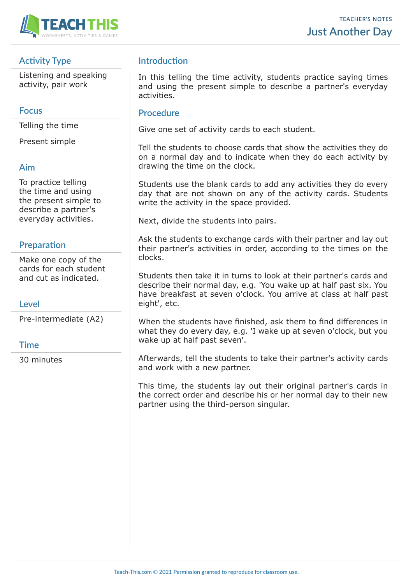

# **Activity Type**

Listening and speaking activity, pair work

### **Focus**

Telling the time

Present simple

### **Aim**

To practice telling the time and using the present simple to describe a partner's everyday activities.

## **Preparation**

Make one copy of the cards for each student and cut as indicated.

## **Level**

Pre-intermediate (A2)

#### **Time**

30 minutes

# **Introduction**

In this telling the time activity, students practice saying times and using the present simple to describe a partner's everyday activities.

#### **Procedure**

Give one set of activity cards to each student.

Tell the students to choose cards that show the activities they do on a normal day and to indicate when they do each activity by drawing the time on the clock.

Students use the blank cards to add any activities they do every day that are not shown on any of the activity cards. Students write the activity in the space provided.

Next, divide the students into pairs.

Ask the students to exchange cards with their partner and lay out their partner's activities in order, according to the times on the clocks.

Students then take it in turns to look at their partner's cards and describe their normal day, e.g. 'You wake up at half past six. You have breakfast at seven o'clock. You arrive at class at half past eight', etc.

When the students have finished, ask them to find differences in what they do every day, e.g. 'I wake up at seven o'clock, but you wake up at half past seven'.

Afterwards, tell the students to take their partner's activity cards and work with a new partner.

This time, the students lay out their original partner's cards in the correct order and describe his or her normal day to their new partner using the third-person singular.